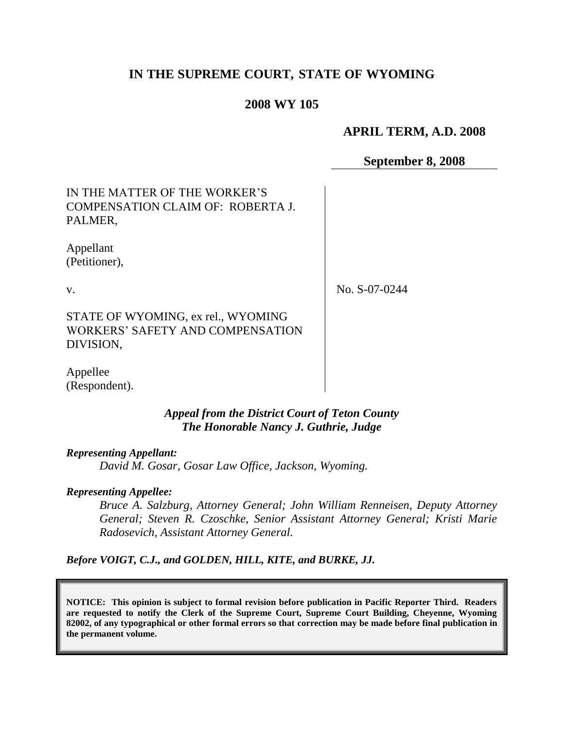# **IN THE SUPREME COURT, STATE OF WYOMING**

### **2008 WY 105**

### **APRIL TERM, A.D. 2008**

### **September 8, 2008**

IN THE MATTER OF THE WORKER"S COMPENSATION CLAIM OF: ROBERTA J. PALMER,

Appellant (Petitioner),

v.

No. S-07-0244

STATE OF WYOMING, ex rel., WYOMING WORKERS" SAFETY AND COMPENSATION DIVISION,

Appellee (Respondent).

#### *Appeal from the District Court of Teton County The Honorable Nancy J. Guthrie, Judge*

#### *Representing Appellant:*

*David M. Gosar, Gosar Law Office, Jackson, Wyoming.*

#### *Representing Appellee:*

*Bruce A. Salzburg, Attorney General; John William Renneisen, Deputy Attorney General; Steven R. Czoschke, Senior Assistant Attorney General; Kristi Marie Radosevich, Assistant Attorney General.* 

*Before VOIGT, C.J., and GOLDEN, HILL, KITE, and BURKE, JJ.*

**NOTICE: This opinion is subject to formal revision before publication in Pacific Reporter Third. Readers are requested to notify the Clerk of the Supreme Court, Supreme Court Building, Cheyenne, Wyoming 82002, of any typographical or other formal errors so that correction may be made before final publication in the permanent volume.**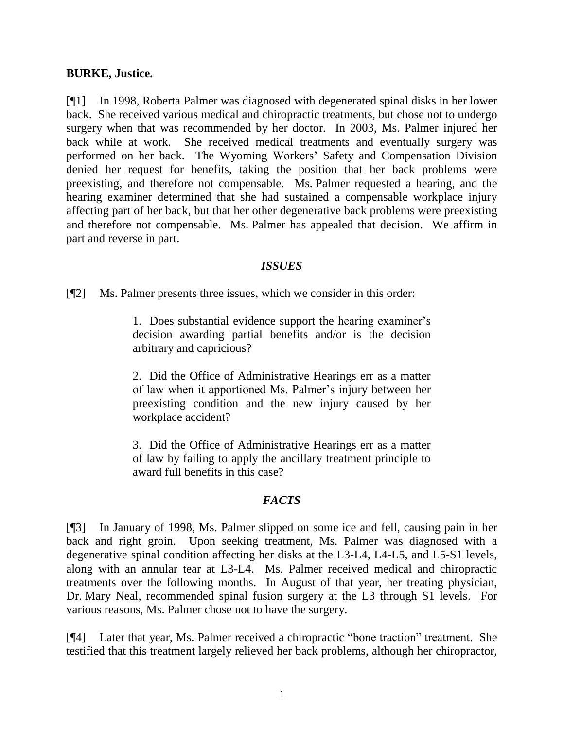### **BURKE, Justice.**

[¶1] In 1998, Roberta Palmer was diagnosed with degenerated spinal disks in her lower back. She received various medical and chiropractic treatments, but chose not to undergo surgery when that was recommended by her doctor. In 2003, Ms. Palmer injured her back while at work. She received medical treatments and eventually surgery was performed on her back. The Wyoming Workers" Safety and Compensation Division denied her request for benefits, taking the position that her back problems were preexisting, and therefore not compensable. Ms. Palmer requested a hearing, and the hearing examiner determined that she had sustained a compensable workplace injury affecting part of her back, but that her other degenerative back problems were preexisting and therefore not compensable. Ms. Palmer has appealed that decision. We affirm in part and reverse in part.

### *ISSUES*

[¶2] Ms. Palmer presents three issues, which we consider in this order:

1. Does substantial evidence support the hearing examiner"s decision awarding partial benefits and/or is the decision arbitrary and capricious?

2. Did the Office of Administrative Hearings err as a matter of law when it apportioned Ms. Palmer"s injury between her preexisting condition and the new injury caused by her workplace accident?

3. Did the Office of Administrative Hearings err as a matter of law by failing to apply the ancillary treatment principle to award full benefits in this case?

# *FACTS*

[¶3] In January of 1998, Ms. Palmer slipped on some ice and fell, causing pain in her back and right groin. Upon seeking treatment, Ms. Palmer was diagnosed with a degenerative spinal condition affecting her disks at the L3-L4, L4-L5, and L5-S1 levels, along with an annular tear at L3-L4. Ms. Palmer received medical and chiropractic treatments over the following months. In August of that year, her treating physician, Dr. Mary Neal, recommended spinal fusion surgery at the L3 through S1 levels. For various reasons, Ms. Palmer chose not to have the surgery.

[¶4] Later that year, Ms. Palmer received a chiropractic "bone traction" treatment. She testified that this treatment largely relieved her back problems, although her chiropractor,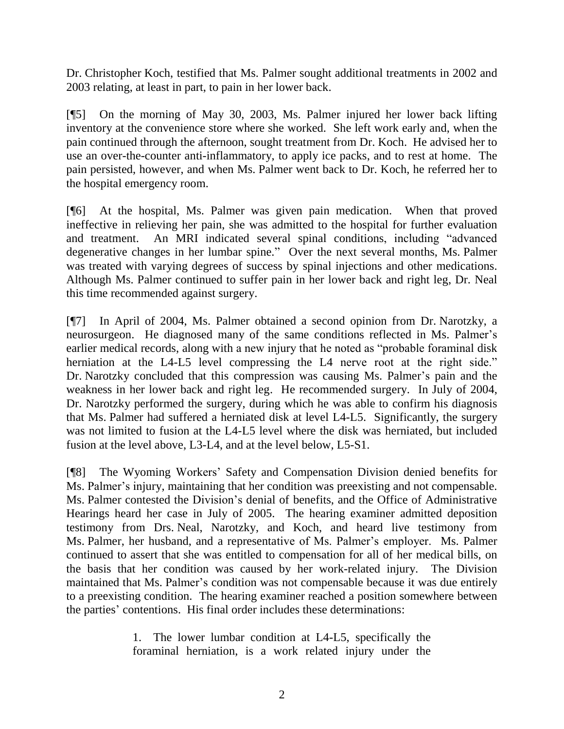Dr. Christopher Koch, testified that Ms. Palmer sought additional treatments in 2002 and 2003 relating, at least in part, to pain in her lower back.

[¶5] On the morning of May 30, 2003, Ms. Palmer injured her lower back lifting inventory at the convenience store where she worked. She left work early and, when the pain continued through the afternoon, sought treatment from Dr. Koch. He advised her to use an over-the-counter anti-inflammatory, to apply ice packs, and to rest at home. The pain persisted, however, and when Ms. Palmer went back to Dr. Koch, he referred her to the hospital emergency room.

[¶6] At the hospital, Ms. Palmer was given pain medication. When that proved ineffective in relieving her pain, she was admitted to the hospital for further evaluation and treatment. An MRI indicated several spinal conditions, including "advanced degenerative changes in her lumbar spine." Over the next several months, Ms. Palmer was treated with varying degrees of success by spinal injections and other medications. Although Ms. Palmer continued to suffer pain in her lower back and right leg, Dr. Neal this time recommended against surgery.

[¶7] In April of 2004, Ms. Palmer obtained a second opinion from Dr. Narotzky, a neurosurgeon. He diagnosed many of the same conditions reflected in Ms. Palmer's earlier medical records, along with a new injury that he noted as "probable foraminal disk herniation at the L4-L5 level compressing the L4 nerve root at the right side." Dr. Narotzky concluded that this compression was causing Ms. Palmer's pain and the weakness in her lower back and right leg. He recommended surgery. In July of 2004, Dr. Narotzky performed the surgery, during which he was able to confirm his diagnosis that Ms. Palmer had suffered a herniated disk at level L4-L5. Significantly, the surgery was not limited to fusion at the L4-L5 level where the disk was herniated, but included fusion at the level above, L3-L4, and at the level below, L5-S1.

[¶8] The Wyoming Workers" Safety and Compensation Division denied benefits for Ms. Palmer's injury, maintaining that her condition was preexisting and not compensable. Ms. Palmer contested the Division"s denial of benefits, and the Office of Administrative Hearings heard her case in July of 2005. The hearing examiner admitted deposition testimony from Drs. Neal, Narotzky, and Koch, and heard live testimony from Ms. Palmer, her husband, and a representative of Ms. Palmer's employer. Ms. Palmer continued to assert that she was entitled to compensation for all of her medical bills, on the basis that her condition was caused by her work-related injury. The Division maintained that Ms. Palmer's condition was not compensable because it was due entirely to a preexisting condition. The hearing examiner reached a position somewhere between the parties" contentions. His final order includes these determinations:

> 1. The lower lumbar condition at L4-L5, specifically the foraminal herniation, is a work related injury under the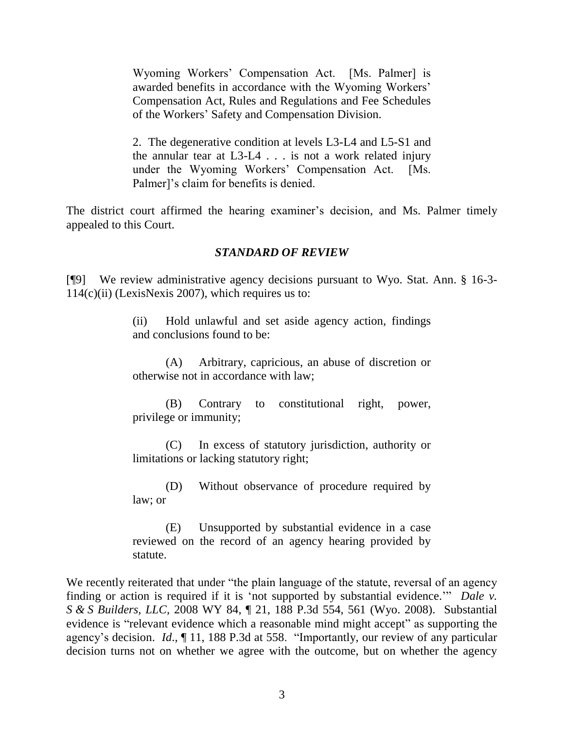Wyoming Workers" Compensation Act. [Ms. Palmer] is awarded benefits in accordance with the Wyoming Workers' Compensation Act, Rules and Regulations and Fee Schedules of the Workers" Safety and Compensation Division.

2. The degenerative condition at levels L3-L4 and L5-S1 and the annular tear at L3-L4 . . . is not a work related injury under the Wyoming Workers' Compensation Act. [Ms. Palmer]'s claim for benefits is denied.

The district court affirmed the hearing examiner's decision, and Ms. Palmer timely appealed to this Court.

# *STANDARD OF REVIEW*

[¶9] We review administrative agency decisions pursuant to Wyo. Stat. Ann. § 16-3-  $114(c)$ (ii) (LexisNexis 2007), which requires us to:

> (ii) Hold unlawful and set aside agency action, findings and conclusions found to be:

> (A) Arbitrary, capricious, an abuse of discretion or otherwise not in accordance with law;

> (B) Contrary to constitutional right, power, privilege or immunity;

> (C) In excess of statutory jurisdiction, authority or limitations or lacking statutory right;

> (D) Without observance of procedure required by law; or

> (E) Unsupported by substantial evidence in a case reviewed on the record of an agency hearing provided by statute.

We recently reiterated that under "the plain language of the statute, reversal of an agency finding or action is required if it is "not supported by substantial evidence."" *Dale v. S & S Builders, LLC,* 2008 WY 84, ¶ 21, 188 P.3d 554, 561 (Wyo. 2008). Substantial evidence is "relevant evidence which a reasonable mind might accept" as supporting the agency"s decision. *Id*., ¶ 11, 188 P.3d at 558. "Importantly, our review of any particular decision turns not on whether we agree with the outcome, but on whether the agency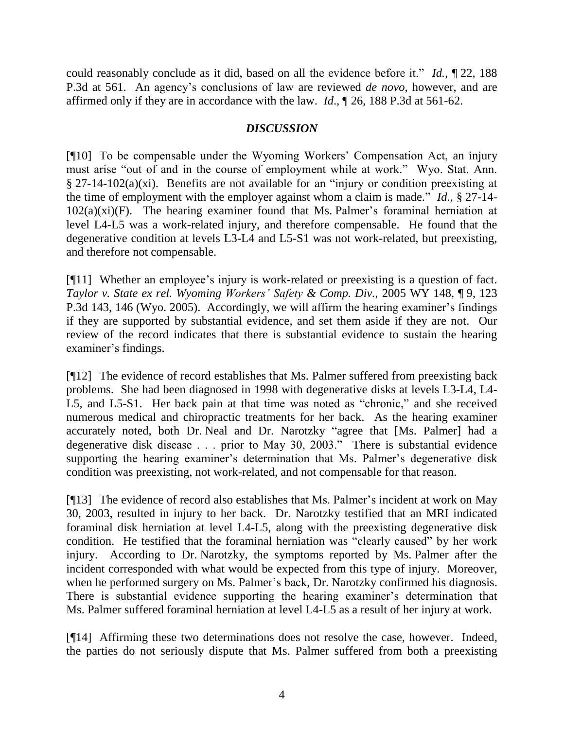could reasonably conclude as it did, based on all the evidence before it." *Id.*, ¶ 22, 188 P.3d at 561. An agency"s conclusions of law are reviewed *de novo*, however, and are affirmed only if they are in accordance with the law. *Id*., ¶ 26, 188 P.3d at 561-62.

# *DISCUSSION*

[¶10] To be compensable under the Wyoming Workers" Compensation Act, an injury must arise "out of and in the course of employment while at work." Wyo. Stat. Ann. § 27-14-102(a)(xi). Benefits are not available for an "injury or condition preexisting at the time of employment with the employer against whom a claim is made." *Id*., § 27-14-  $102(a)(xi)(F)$ . The hearing examiner found that Ms. Palmer's foraminal herniation at level L4-L5 was a work-related injury, and therefore compensable. He found that the degenerative condition at levels L3-L4 and L5-S1 was not work-related, but preexisting, and therefore not compensable.

[¶11] Whether an employee"s injury is work-related or preexisting is a question of fact. *Taylor v. State ex rel. Wyoming Workers' Safety & Comp. Div.*, 2005 WY 148, ¶ 9, 123 P.3d 143, 146 (Wyo. 2005). Accordingly, we will affirm the hearing examiner's findings if they are supported by substantial evidence, and set them aside if they are not. Our review of the record indicates that there is substantial evidence to sustain the hearing examiner's findings.

[¶12] The evidence of record establishes that Ms. Palmer suffered from preexisting back problems. She had been diagnosed in 1998 with degenerative disks at levels L3-L4, L4- L5, and L5-S1. Her back pain at that time was noted as "chronic," and she received numerous medical and chiropractic treatments for her back. As the hearing examiner accurately noted, both Dr. Neal and Dr. Narotzky "agree that [Ms. Palmer] had a degenerative disk disease . . . prior to May 30, 2003." There is substantial evidence supporting the hearing examiner's determination that Ms. Palmer's degenerative disk condition was preexisting, not work-related, and not compensable for that reason.

[¶13] The evidence of record also establishes that Ms. Palmer"s incident at work on May 30, 2003, resulted in injury to her back. Dr. Narotzky testified that an MRI indicated foraminal disk herniation at level L4-L5, along with the preexisting degenerative disk condition. He testified that the foraminal herniation was "clearly caused" by her work injury. According to Dr. Narotzky, the symptoms reported by Ms. Palmer after the incident corresponded with what would be expected from this type of injury. Moreover, when he performed surgery on Ms. Palmer's back, Dr. Narotzky confirmed his diagnosis. There is substantial evidence supporting the hearing examiner's determination that Ms. Palmer suffered foraminal herniation at level L4-L5 as a result of her injury at work.

[¶14] Affirming these two determinations does not resolve the case, however. Indeed, the parties do not seriously dispute that Ms. Palmer suffered from both a preexisting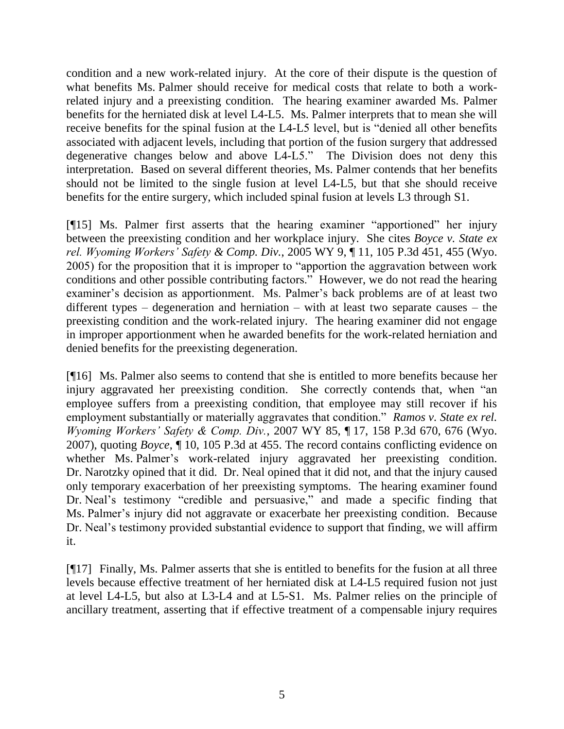condition and a new work-related injury. At the core of their dispute is the question of what benefits Ms. Palmer should receive for medical costs that relate to both a workrelated injury and a preexisting condition. The hearing examiner awarded Ms. Palmer benefits for the herniated disk at level L4-L5. Ms. Palmer interprets that to mean she will receive benefits for the spinal fusion at the L4-L5 level, but is "denied all other benefits associated with adjacent levels, including that portion of the fusion surgery that addressed degenerative changes below and above L4-L5." The Division does not deny this interpretation. Based on several different theories, Ms. Palmer contends that her benefits should not be limited to the single fusion at level L4-L5, but that she should receive benefits for the entire surgery, which included spinal fusion at levels L3 through S1.

[¶15] Ms. Palmer first asserts that the hearing examiner "apportioned" her injury between the preexisting condition and her workplace injury. She cites *Boyce v. State ex rel. Wyoming Workers' Safety & Comp. Div.*, 2005 WY 9, ¶ 11, 105 P.3d 451, 455 (Wyo. 2005) for the proposition that it is improper to "apportion the aggravation between work conditions and other possible contributing factors." However, we do not read the hearing examiner's decision as apportionment. Ms. Palmer's back problems are of at least two different types – degeneration and herniation – with at least two separate causes – the preexisting condition and the work-related injury. The hearing examiner did not engage in improper apportionment when he awarded benefits for the work-related herniation and denied benefits for the preexisting degeneration.

[¶16] Ms. Palmer also seems to contend that she is entitled to more benefits because her injury aggravated her preexisting condition. She correctly contends that, when "an employee suffers from a preexisting condition, that employee may still recover if his employment substantially or materially aggravates that condition." *Ramos v. State ex rel. Wyoming Workers' Safety & Comp. Div.*, 2007 WY 85, ¶ 17, 158 P.3d 670, 676 (Wyo. 2007), quoting *Boyce*, ¶ 10, 105 P.3d at 455. The record contains conflicting evidence on whether Ms. Palmer's work-related injury aggravated her preexisting condition. Dr. Narotzky opined that it did. Dr. Neal opined that it did not, and that the injury caused only temporary exacerbation of her preexisting symptoms. The hearing examiner found Dr. Neal"s testimony "credible and persuasive," and made a specific finding that Ms. Palmer's injury did not aggravate or exacerbate her preexisting condition. Because Dr. Neal's testimony provided substantial evidence to support that finding, we will affirm it.

[¶17] Finally, Ms. Palmer asserts that she is entitled to benefits for the fusion at all three levels because effective treatment of her herniated disk at L4-L5 required fusion not just at level L4-L5, but also at L3-L4 and at L5-S1. Ms. Palmer relies on the principle of ancillary treatment, asserting that if effective treatment of a compensable injury requires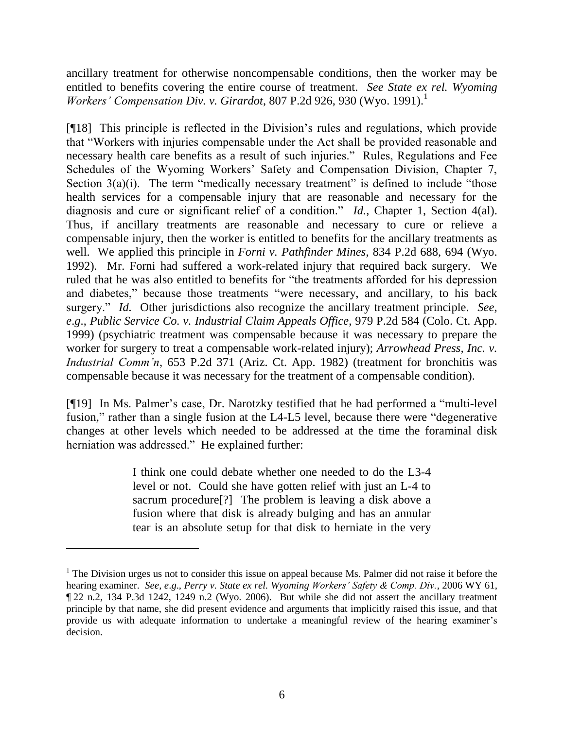ancillary treatment for otherwise noncompensable conditions, then the worker may be entitled to benefits covering the entire course of treatment. *See State ex rel. Wyoming Workers' Compensation Div. v. Girardot, 807 P.2d 926, 930 (Wyo. 1991).*<sup>1</sup>

[¶18] This principle is reflected in the Division"s rules and regulations, which provide that "Workers with injuries compensable under the Act shall be provided reasonable and necessary health care benefits as a result of such injuries." Rules, Regulations and Fee Schedules of the Wyoming Workers' Safety and Compensation Division, Chapter 7, Section  $3(a)(i)$ . The term "medically necessary treatment" is defined to include "those health services for a compensable injury that are reasonable and necessary for the diagnosis and cure or significant relief of a condition." *Id.*, Chapter 1, Section 4(al). Thus, if ancillary treatments are reasonable and necessary to cure or relieve a compensable injury, then the worker is entitled to benefits for the ancillary treatments as well. We applied this principle in *Forni v. Pathfinder Mines*, 834 P.2d 688, 694 (Wyo. 1992). Mr. Forni had suffered a work-related injury that required back surgery. We ruled that he was also entitled to benefits for "the treatments afforded for his depression and diabetes," because those treatments "were necessary, and ancillary, to his back surgery." *Id.* Other jurisdictions also recognize the ancillary treatment principle. *See*, *e*.*g*., *Public Service Co. v. Industrial Claim Appeals Office*, 979 P.2d 584 (Colo. Ct. App. 1999) (psychiatric treatment was compensable because it was necessary to prepare the worker for surgery to treat a compensable work-related injury); *Arrowhead Press, Inc. v. Industrial Comm'n*, 653 P.2d 371 (Ariz. Ct. App. 1982) (treatment for bronchitis was compensable because it was necessary for the treatment of a compensable condition).

[¶19] In Ms. Palmer"s case, Dr. Narotzky testified that he had performed a "multi-level fusion," rather than a single fusion at the L4-L5 level, because there were "degenerative changes at other levels which needed to be addressed at the time the foraminal disk herniation was addressed." He explained further:

> I think one could debate whether one needed to do the L3-4 level or not. Could she have gotten relief with just an L-4 to sacrum procedure[?] The problem is leaving a disk above a fusion where that disk is already bulging and has an annular tear is an absolute setup for that disk to herniate in the very

<sup>&</sup>lt;sup>1</sup> The Division urges us not to consider this issue on appeal because Ms. Palmer did not raise it before the hearing examiner. *See*, *e*.*g*., *Perry v. State ex rel. Wyoming Workers' Safety & Comp. Div.*, 2006 WY 61, ¶ 22 n.2, 134 P.3d 1242, 1249 n.2 (Wyo. 2006). But while she did not assert the ancillary treatment principle by that name, she did present evidence and arguments that implicitly raised this issue, and that provide us with adequate information to undertake a meaningful review of the hearing examiner's decision.